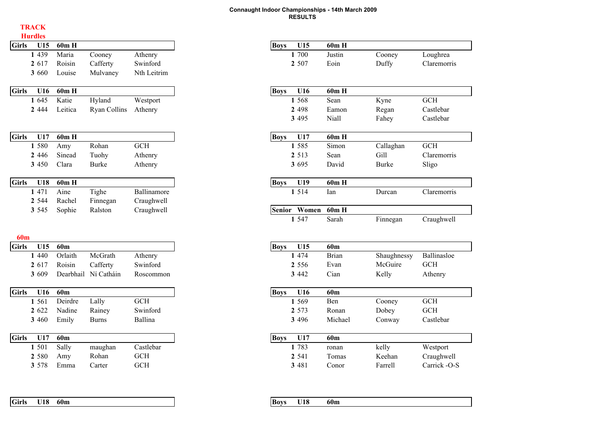#### **TRACK**

|              | <b>Hurdles</b> |           |                     |             |
|--------------|----------------|-----------|---------------------|-------------|
| <b>Girls</b> | U15            | 60m H     |                     |             |
|              | 1 4 3 9        | Maria     | Cooney              | Athenry     |
|              | 2 617          | Roisin    | Cafferty            | Swinford    |
|              | 3 660          | Louise    | Mulvaney            | Nth Leitrim |
| <b>Girls</b> | U16            | 60m H     |                     |             |
|              | 1 645          | Katie     | Hyland              | Westport    |
|              | 2 4 4 4        | Leitica   | <b>Ryan Collins</b> | Athenry     |
|              |                |           |                     |             |
| <b>Girls</b> | U17            | 60m H     |                     |             |
|              | 1 580          | Amy       | Rohan               | <b>GCH</b>  |
|              | 2 4 4 6        | Sinead    | Tuohy               | Athenry     |
|              | 3 450          | Clara     | <b>Burke</b>        | Athenry     |
| <b>Girls</b> | U18            | $60m$ H   |                     |             |
|              | 1 471          | Aine      | Tighe               | Ballinamore |
|              | 2 5 4 4        | Rachel    | Finnegan            | Craughwell  |
|              | 3 5 4 5        | Sophie    | Ralston             | Craughwell  |
|              |                |           |                     |             |
| <b>60m</b>   |                |           |                     |             |
| <b>Girls</b> | U15            | 60m       |                     |             |
|              | 1 4 4 0        | Orlaith   | McGrath             | Athenry     |
|              | 2 617          | Roisin    | Cafferty            | Swinford    |
|              | 3 609          | Dearbhail | Ní Catháin          | Roscommon   |

| <b>Girls</b><br>U16 | 60m     |              |          | U16<br><b>Boys</b> |
|---------------------|---------|--------------|----------|--------------------|
| 1 5 6 1             | Deirdre | Lally        | GCH      | 1 5 6 9            |
| 2 622               | Nadine  | Rainey       | Swinford | 2 5 7 3            |
| 3 4 6 0             | Emily   | <b>Burns</b> | Ballina  | 3 4 9 6            |

| Girls | U17     | 60 <sub>m</sub> |         |            |
|-------|---------|-----------------|---------|------------|
|       | 1 501   | Sally           | maughan | Castlebar  |
|       | 2 5 8 0 | Amy             | Rohan   | <b>GCH</b> |
|       | 3 578   | Emma            | Carter  | <b>GCH</b> |

| rdles                            |                 |                      |                          |
|----------------------------------|-----------------|----------------------|--------------------------|
| U15                              | 60m H           |                      |                          |
| 1 439                            | Maria           | Cooney               | Athenry                  |
| 2 617                            | Roisin          | Cafferty             | Swinford                 |
| 3 660                            | Louise          | Mulvaney             | Nth Leitrim              |
|                                  |                 |                      |                          |
| U16                              | 60m H           |                      |                          |
| 1 645                            | Katie           | Hyland               | Westport                 |
| 2 444                            | Leitica         | <b>Ryan Collins</b>  | Athenry                  |
|                                  |                 |                      |                          |
| U17                              | $60m$ H         |                      |                          |
| 1 580                            | Amy             | Rohan                | <b>GCH</b>               |
| 2 4 4 6                          | Sinead          | Tuohy                | Athenry                  |
| 3 450                            | Clara           | <b>Burke</b>         | Athenry                  |
| U18                              | 60m H           |                      |                          |
| 1 471                            | Aine            | Tighe                | Ballinamore              |
| 2 5 4 4                          | Rachel          | Finnegan             | Craughwell               |
| 3 5 4 5                          | Sophie          | Ralston              | Craughwell               |
|                                  |                 |                      |                          |
| U15                              | 60 <sub>m</sub> |                      |                          |
| 1 440                            | Orlaith         | McGrath              | Athenry                  |
| 2 617                            | Roisin          | Cafferty             | Swinford                 |
| 3 609                            |                 | Dearbhail Ní Catháin | Roscommon                |
|                                  |                 |                      |                          |
| U16                              | 60 <sub>m</sub> |                      |                          |
| 1 561                            | Deirdre         | Lally                | <b>GCH</b>               |
| 2 622                            | Nadine          | Rainey               | Swinford                 |
|                                  | Emily           | <b>Burns</b>         | Ballina                  |
|                                  |                 |                      |                          |
| U17                              | 60m             |                      |                          |
|                                  | Sally           | maughan              | Castlebar                |
| 3 460<br>1 501<br>2 580<br>3 578 | Amy<br>Emma     | Rohan<br>Carter      | <b>GCH</b><br><b>GCH</b> |

| Girls | U18 | 60 <sub>m</sub> |  |
|-------|-----|-----------------|--|
|       |     |                 |  |

| m | <b>D</b> ove | ιo | – 60n. |
|---|--------------|----|--------|
|   |              |    |        |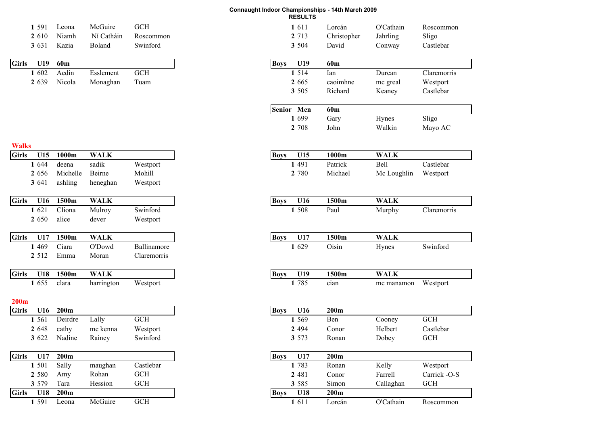| 1 591   | Leona | McGuire | <b>GCH</b>           | -611    | Lorcan      | O'Cathain | Roscommon |
|---------|-------|---------|----------------------|---------|-------------|-----------|-----------|
| 2 6 1 0 | Niamh |         | Ní Catháin Roscommon | 2 7 1 3 | Christopher | Jahrling  | Sligo     |
| 3 6 3 1 | Kazia | Boland  | Swinford             | 3 5 0 4 | David       | Conway    | Castlebar |

| Aedin<br>1602<br><b>GCH</b><br>1 5 1 4<br>Esslement<br>2 6 3 9<br>Nicola<br>2 6 6 5<br>Monaghan Tuam | <b>Girls</b><br>U19 | 60m |  |  | <b>Boys</b> | U19 |
|------------------------------------------------------------------------------------------------------|---------------------|-----|--|--|-------------|-----|
|                                                                                                      |                     |     |  |  |             |     |
|                                                                                                      |                     |     |  |  |             |     |

| Niamh<br>Ní Catháin<br>2 7 1 3<br>Christopher<br>2 610<br>Roscommon<br>Boland<br>Swinford<br>3 504<br>David<br>3 631<br>Kazia<br>60m<br><b>Boys</b><br>U19<br>60m<br>U19<br>1 5 1 4<br>Aedin<br>$\operatorname{GCH}$<br>1 602<br>Esslement<br>Ian<br>2 6 6 5<br>2 639<br>Nicola<br>Monaghan<br>Tuam<br>caoimhne<br>3 5 0 5<br>Richard<br>Senior Men<br>60m<br>1 699<br>Gary<br>2 708<br>John<br>1000m<br><b>WALK</b><br>U15<br>1000m<br><b>Boys</b><br>U15<br>sadik<br>1 4 9 1<br>Patrick<br>1 644<br>deena<br>Westport<br>Beirne<br>Mohill<br>Michelle<br>2 780<br>Michael<br>2 656<br>3 641<br>ashling<br>heneghan<br>Westport<br><b>WALK</b><br>1500m<br><b>Boys</b><br>1500m<br>U16<br>U16<br>Cliona<br>Mulroy<br>Swinford<br>1 508<br>1 621<br>Paul<br>alice<br>2 650<br>dever<br>Westport<br><b>WALK</b><br>U17<br>1500m<br>U17<br>1500m<br><b>Boys</b><br>1 4 6 9<br>Ciara<br>O'Dowd<br>Ballinamore<br>1 629<br>Oisin<br>2 5 1 2<br>Claremorris<br>Emma<br>Moran<br>1500m<br><b>WALK</b><br>1500m<br>U18<br><b>Boys</b><br>U19<br>clara<br>1 785<br>1 655<br>harrington<br>Westport<br>cian<br>200m<br>200m<br><b>Boys</b><br>U16<br>U16<br>1 5 6 9<br>1 561<br>Deirdre<br>Lally<br>Ben<br>$GCH$<br>Conor<br>cathy<br>mc kenna<br>Westport<br>2 4 9 4<br>2 648<br>3 622<br>Nadine<br>Swinford<br>3 573<br>Ronan<br>Rainey<br>200m<br>200m<br>U17<br>U17<br><b>Boys</b><br>1 783<br>Castlebar |             |              |
|-----------------------------------------------------------------------------------------------------------------------------------------------------------------------------------------------------------------------------------------------------------------------------------------------------------------------------------------------------------------------------------------------------------------------------------------------------------------------------------------------------------------------------------------------------------------------------------------------------------------------------------------------------------------------------------------------------------------------------------------------------------------------------------------------------------------------------------------------------------------------------------------------------------------------------------------------------------------------------------------------------------------------------------------------------------------------------------------------------------------------------------------------------------------------------------------------------------------------------------------------------------------------------------------------------------------------------------------------------------------------------------------------------|-------------|--------------|
|                                                                                                                                                                                                                                                                                                                                                                                                                                                                                                                                                                                                                                                                                                                                                                                                                                                                                                                                                                                                                                                                                                                                                                                                                                                                                                                                                                                                     | Jahrling    | Sligo        |
|                                                                                                                                                                                                                                                                                                                                                                                                                                                                                                                                                                                                                                                                                                                                                                                                                                                                                                                                                                                                                                                                                                                                                                                                                                                                                                                                                                                                     | Conway      | Castlebar    |
|                                                                                                                                                                                                                                                                                                                                                                                                                                                                                                                                                                                                                                                                                                                                                                                                                                                                                                                                                                                                                                                                                                                                                                                                                                                                                                                                                                                                     |             |              |
|                                                                                                                                                                                                                                                                                                                                                                                                                                                                                                                                                                                                                                                                                                                                                                                                                                                                                                                                                                                                                                                                                                                                                                                                                                                                                                                                                                                                     |             |              |
|                                                                                                                                                                                                                                                                                                                                                                                                                                                                                                                                                                                                                                                                                                                                                                                                                                                                                                                                                                                                                                                                                                                                                                                                                                                                                                                                                                                                     | Durcan      | Claremorris  |
|                                                                                                                                                                                                                                                                                                                                                                                                                                                                                                                                                                                                                                                                                                                                                                                                                                                                                                                                                                                                                                                                                                                                                                                                                                                                                                                                                                                                     | mc greal    | Westport     |
|                                                                                                                                                                                                                                                                                                                                                                                                                                                                                                                                                                                                                                                                                                                                                                                                                                                                                                                                                                                                                                                                                                                                                                                                                                                                                                                                                                                                     | Keaney      | Castlebar    |
|                                                                                                                                                                                                                                                                                                                                                                                                                                                                                                                                                                                                                                                                                                                                                                                                                                                                                                                                                                                                                                                                                                                                                                                                                                                                                                                                                                                                     |             |              |
|                                                                                                                                                                                                                                                                                                                                                                                                                                                                                                                                                                                                                                                                                                                                                                                                                                                                                                                                                                                                                                                                                                                                                                                                                                                                                                                                                                                                     |             |              |
|                                                                                                                                                                                                                                                                                                                                                                                                                                                                                                                                                                                                                                                                                                                                                                                                                                                                                                                                                                                                                                                                                                                                                                                                                                                                                                                                                                                                     | Hynes       | Sligo        |
|                                                                                                                                                                                                                                                                                                                                                                                                                                                                                                                                                                                                                                                                                                                                                                                                                                                                                                                                                                                                                                                                                                                                                                                                                                                                                                                                                                                                     | Walkin      | Mayo AC      |
|                                                                                                                                                                                                                                                                                                                                                                                                                                                                                                                                                                                                                                                                                                                                                                                                                                                                                                                                                                                                                                                                                                                                                                                                                                                                                                                                                                                                     |             |              |
|                                                                                                                                                                                                                                                                                                                                                                                                                                                                                                                                                                                                                                                                                                                                                                                                                                                                                                                                                                                                                                                                                                                                                                                                                                                                                                                                                                                                     |             |              |
|                                                                                                                                                                                                                                                                                                                                                                                                                                                                                                                                                                                                                                                                                                                                                                                                                                                                                                                                                                                                                                                                                                                                                                                                                                                                                                                                                                                                     | <b>WALK</b> |              |
|                                                                                                                                                                                                                                                                                                                                                                                                                                                                                                                                                                                                                                                                                                                                                                                                                                                                                                                                                                                                                                                                                                                                                                                                                                                                                                                                                                                                     | <b>Bell</b> | Castlebar    |
|                                                                                                                                                                                                                                                                                                                                                                                                                                                                                                                                                                                                                                                                                                                                                                                                                                                                                                                                                                                                                                                                                                                                                                                                                                                                                                                                                                                                     | Mc Loughlin | Westport     |
|                                                                                                                                                                                                                                                                                                                                                                                                                                                                                                                                                                                                                                                                                                                                                                                                                                                                                                                                                                                                                                                                                                                                                                                                                                                                                                                                                                                                     |             |              |
|                                                                                                                                                                                                                                                                                                                                                                                                                                                                                                                                                                                                                                                                                                                                                                                                                                                                                                                                                                                                                                                                                                                                                                                                                                                                                                                                                                                                     |             |              |
|                                                                                                                                                                                                                                                                                                                                                                                                                                                                                                                                                                                                                                                                                                                                                                                                                                                                                                                                                                                                                                                                                                                                                                                                                                                                                                                                                                                                     | <b>WALK</b> |              |
|                                                                                                                                                                                                                                                                                                                                                                                                                                                                                                                                                                                                                                                                                                                                                                                                                                                                                                                                                                                                                                                                                                                                                                                                                                                                                                                                                                                                     | Murphy      | Claremorris  |
|                                                                                                                                                                                                                                                                                                                                                                                                                                                                                                                                                                                                                                                                                                                                                                                                                                                                                                                                                                                                                                                                                                                                                                                                                                                                                                                                                                                                     |             |              |
|                                                                                                                                                                                                                                                                                                                                                                                                                                                                                                                                                                                                                                                                                                                                                                                                                                                                                                                                                                                                                                                                                                                                                                                                                                                                                                                                                                                                     |             |              |
|                                                                                                                                                                                                                                                                                                                                                                                                                                                                                                                                                                                                                                                                                                                                                                                                                                                                                                                                                                                                                                                                                                                                                                                                                                                                                                                                                                                                     | <b>WALK</b> |              |
|                                                                                                                                                                                                                                                                                                                                                                                                                                                                                                                                                                                                                                                                                                                                                                                                                                                                                                                                                                                                                                                                                                                                                                                                                                                                                                                                                                                                     | Hynes       | Swinford     |
|                                                                                                                                                                                                                                                                                                                                                                                                                                                                                                                                                                                                                                                                                                                                                                                                                                                                                                                                                                                                                                                                                                                                                                                                                                                                                                                                                                                                     |             |              |
|                                                                                                                                                                                                                                                                                                                                                                                                                                                                                                                                                                                                                                                                                                                                                                                                                                                                                                                                                                                                                                                                                                                                                                                                                                                                                                                                                                                                     |             |              |
|                                                                                                                                                                                                                                                                                                                                                                                                                                                                                                                                                                                                                                                                                                                                                                                                                                                                                                                                                                                                                                                                                                                                                                                                                                                                                                                                                                                                     | <b>WALK</b> |              |
|                                                                                                                                                                                                                                                                                                                                                                                                                                                                                                                                                                                                                                                                                                                                                                                                                                                                                                                                                                                                                                                                                                                                                                                                                                                                                                                                                                                                     | mc manamon  | Westport     |
|                                                                                                                                                                                                                                                                                                                                                                                                                                                                                                                                                                                                                                                                                                                                                                                                                                                                                                                                                                                                                                                                                                                                                                                                                                                                                                                                                                                                     |             |              |
|                                                                                                                                                                                                                                                                                                                                                                                                                                                                                                                                                                                                                                                                                                                                                                                                                                                                                                                                                                                                                                                                                                                                                                                                                                                                                                                                                                                                     |             |              |
|                                                                                                                                                                                                                                                                                                                                                                                                                                                                                                                                                                                                                                                                                                                                                                                                                                                                                                                                                                                                                                                                                                                                                                                                                                                                                                                                                                                                     | Cooney      | <b>GCH</b>   |
|                                                                                                                                                                                                                                                                                                                                                                                                                                                                                                                                                                                                                                                                                                                                                                                                                                                                                                                                                                                                                                                                                                                                                                                                                                                                                                                                                                                                     | Helbert     | Castlebar    |
|                                                                                                                                                                                                                                                                                                                                                                                                                                                                                                                                                                                                                                                                                                                                                                                                                                                                                                                                                                                                                                                                                                                                                                                                                                                                                                                                                                                                     |             |              |
|                                                                                                                                                                                                                                                                                                                                                                                                                                                                                                                                                                                                                                                                                                                                                                                                                                                                                                                                                                                                                                                                                                                                                                                                                                                                                                                                                                                                     | Dobey       | <b>GCH</b>   |
|                                                                                                                                                                                                                                                                                                                                                                                                                                                                                                                                                                                                                                                                                                                                                                                                                                                                                                                                                                                                                                                                                                                                                                                                                                                                                                                                                                                                     |             |              |
|                                                                                                                                                                                                                                                                                                                                                                                                                                                                                                                                                                                                                                                                                                                                                                                                                                                                                                                                                                                                                                                                                                                                                                                                                                                                                                                                                                                                     | Kelly       | Westport     |
| Sally<br>1 501<br>maughan<br>Ronan<br>Rohan<br><b>GCH</b><br>Amy<br>2 481<br>Conor<br>2 580                                                                                                                                                                                                                                                                                                                                                                                                                                                                                                                                                                                                                                                                                                                                                                                                                                                                                                                                                                                                                                                                                                                                                                                                                                                                                                         | Farrell     | Carrick -O-S |
| Tara<br><b>GCH</b><br>Simon<br>Hession<br>3 5 8 5                                                                                                                                                                                                                                                                                                                                                                                                                                                                                                                                                                                                                                                                                                                                                                                                                                                                                                                                                                                                                                                                                                                                                                                                                                                                                                                                                   | Callaghan   | <b>GCH</b>   |
| 3 579                                                                                                                                                                                                                                                                                                                                                                                                                                                                                                                                                                                                                                                                                                                                                                                                                                                                                                                                                                                                                                                                                                                                                                                                                                                                                                                                                                                               |             |              |
| 200m<br>U18<br>U18<br><b>Boys</b><br>200 <sub>m</sub><br>$\mathbf{r} \cdot \mathbf{r}$<br>$\alpha$ $\alpha$                                                                                                                                                                                                                                                                                                                                                                                                                                                                                                                                                                                                                                                                                                                                                                                                                                                                                                                                                                                                                                                                                                                                                                                                                                                                                         |             |              |

#### **Walks**

| <b>Girls</b> | U15     | 1000m            | <b>WALK</b> |             |
|--------------|---------|------------------|-------------|-------------|
|              | 1 644   | deena            | sadik       | Westport    |
|              | 2 656   | Michelle         | Beirne      | Mohill      |
|              | 3 641   | ashling          | heneghan    | Westport    |
| <b>Girls</b> | U16     | 1500m            | <b>WALK</b> |             |
|              | 1 621   | Cliona           | Mulroy      | Swinford    |
|              | 2 650   | alice            | dever       | Westport    |
| <b>Girls</b> | U17     | 1500m            | <b>WALK</b> |             |
|              | 1 4 6 9 | Ciara            | O'Dowd      | Ballinamore |
|              | 2 5 1 2 | Emma             | Moran       | Claremorris |
| <b>Girls</b> | U18     | 1500m            | <b>WALK</b> |             |
|              | 1 655   | clara            | harrington  | Westport    |
| 200m         |         |                  |             |             |
| <b>Girls</b> | U16     | 200 <sub>m</sub> |             |             |
|              | 1 5 6 1 | Deirdre          | Lally       | <b>GCH</b>  |
|              | 2 648   | cathy            | mc kenna    | Westport    |
|              | 3 622   | Nadine           | Rainey      | Swinford    |
| <b>Girls</b> | U17     | 200m             |             |             |
|              | 1 501   | Sally            | maughan     | Castlebar   |
|              | 2 580   | Amy              | Rohan       | <b>GCH</b>  |

**Girls U18 200m**1 591 Leona <sup>591</sup> Leona McGuire GCH **<sup>1</sup>** <sup>611</sup> Lorcán O'Cathain Roscommon

**3**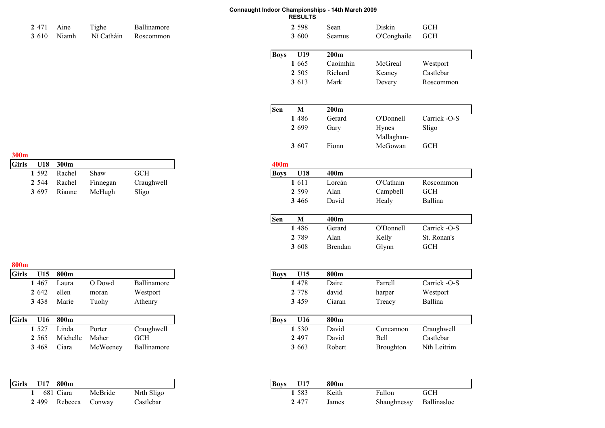| 2 4 7 1      | Aine  | Tighe      | Ballinamore |
|--------------|-------|------------|-------------|
| <b>3</b> 610 | Niamh | Ní Catháin | Roscommon   |

| 2471 | Aine | Tighe                            | Ballinamore | 2 5 9 8      | Sean   | Diskin          | <b>GCH</b> |
|------|------|----------------------------------|-------------|--------------|--------|-----------------|------------|
|      |      | 3 610 Niamh Ní Catháin Roscommon |             | <b>3</b> 600 | Seamus | O'Conghaile GCH |            |

| <b>Boys</b> | U19     | 200m     |         |           |
|-------------|---------|----------|---------|-----------|
|             | 1 665   | Caoimhin | McGreal | Westport  |
|             | 2 5 0 5 | Richard  | Keaney  | Castlebar |
|             | 3 613   | Mark     | Devery  | Roscommon |

| Sen | м       | 200m   |                            |              |
|-----|---------|--------|----------------------------|--------------|
|     | 1486    | Gerard | O'Donnell                  | Carrick -O-S |
|     | 2 6 9 9 | Gary   | <b>Hynes</b><br>Mallaghan- | Sligo        |
|     | 3 607   | Fionn  | McGowan                    | <b>GCH</b>   |

#### **300m**

| Girls |       | U18 300m            |          |            | 400m |          |       |
|-------|-------|---------------------|----------|------------|------|----------|-------|
|       |       | 1 592 Rachel        | Shaw     | GCH        |      | Boys U18 | 400m  |
|       |       | <b>2</b> 544 Rachel | Finnegan | Craughwell |      | 1611     | Lorcá |
|       | 3 697 | Rianne              | McHugh   | Sligo      |      | 2 5 9 9  | Alan  |

| 800 <sub>m</sub> |         |       |        |             |
|------------------|---------|-------|--------|-------------|
| <b>Girls</b>     | U15     | 800m  |        |             |
|                  | 1467    | Laura | O Dowd | Ballinamore |
|                  | 2 642   | ellen | moran  | Westport    |
|                  | 3 4 3 8 | Marie | Tuohv  | Athenry     |

| <b>Girls</b> | U16     | 800m     |          |             | <b>Boys</b> | U16     | 800m  |
|--------------|---------|----------|----------|-------------|-------------|---------|-------|
|              | 1 527   | Linda    | Porter   | Craughwell  |             | 1 5 3 0 | Davic |
|              | 2 5 6 5 | Michelle | Maher    | GCH         |             | 2 4 9 7 | Davic |
|              | 3 4 6 8 | Ciara    | McWeeney | Ballinamore |             | 3 6 6 3 | Robei |

| <b>Girls</b> | U17     | 800 <sub>m</sub> |         |            |
|--------------|---------|------------------|---------|------------|
|              |         | 681 Ciara        | McBride | Nrth Sligo |
|              | 2 4 9 9 | Rebecca          | Conway  | Castlebar  |

| U <sub>18</sub> | 300m   |          |            | 400m        |         |         |           |              |  |
|-----------------|--------|----------|------------|-------------|---------|---------|-----------|--------------|--|
| 1 592           | Rachel | Shaw     | <b>GCH</b> | <b>Boys</b> | U18     | 400m    |           |              |  |
| 2 544           | Rachel | Finnegan | Craughwell |             | 1611    | Lorcán  | O'Cathain | Roscommon    |  |
| 3697            | Rianne | McHugh   | Sligo      |             | 2 5 9 9 | Alan    | Campbell  | <b>GCH</b>   |  |
|                 |        |          |            |             | 3 4 6 6 | David   | Healy     | Ballina      |  |
|                 |        |          |            |             |         |         |           |              |  |
|                 |        |          |            | Sen         | M       | 400m    |           |              |  |
|                 |        |          |            |             | 486     | Gerard  | O'Donnell | Carrick -O-S |  |
|                 |        |          |            |             | 2 7 8 9 | Alan    | Kelly     | St. Ronan's  |  |
|                 |        |          |            |             | 3 608   | Brendan | Glynn     | <b>GCH</b>   |  |

| U15   | 800m  |        |             | U15<br><b>Boys</b> | 800m           |
|-------|-------|--------|-------------|--------------------|----------------|
| . 467 | ∟aura | O Dowd | Ballinamore | 478                | Daire          |
| 2642  | ellen | moran  | Westport    | 2 7 7 8            | david          |
| 3438  | Marie | Tuohy  | Athenry     | 3 4 5 9            | $\gamma$ iaran |

| U16   | 800m     |          |             |
|-------|----------|----------|-------------|
| 1.527 | Linda    | Porter   | Craughwell  |
| 2 565 | Michelle | Maher    | GCH         |
| 3468  | `ıara    | McWeeney | Ballinamore |

| U17<br>800m     |         |            |
|-----------------|---------|------------|
| Ciara<br>681    | McBride | Nrth Sligo |
| 2499<br>Rebecca | Conway  | Castlebar  |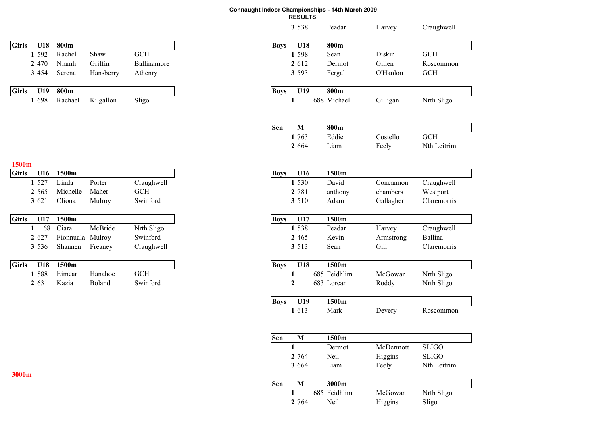| <b>Girls</b> | U18     | 800m             |           |             |
|--------------|---------|------------------|-----------|-------------|
|              | 1 5 9 2 | Rachel           | Shaw      | GCH         |
|              | 2 4 7 0 | Niamh            | Griffin   | Ballinamore |
|              | 3 4 5 4 | Serena           | Hansberry | Athenry     |
| <b>Girls</b> | U19     | 800 <sub>m</sub> |           |             |
|              | 1 698   | Rachael          | Kilgallon | Sligo       |
|              |         |                  |           |             |

| <b>Girls</b> | U16     | 1500m             |         |            |
|--------------|---------|-------------------|---------|------------|
|              | 1 5 2 7 | Linda             | Porter  | Craughwell |
|              | 2 5 6 5 | Michelle          | Maher   | <b>GCH</b> |
|              | 3 6 2 1 | Cliona            | Mulroy  | Swinford   |
| <b>Girls</b> | U17     | 1500 <sub>m</sub> |         |            |
|              |         | 681 Ciara         | McBride | Nrth Sligo |
|              | 2 627   | Fionnuala Mulroy  |         | Swinford   |
|              | 3 5 3 6 | Shannen           | Freaney | Craughwell |
| <b>Girls</b> | U18     | 1500m             |         |            |
|              | 1 588   | Eimear            | Hanahoe | <b>GCH</b> |
|              | 2 6 3 1 | Kazia             | Boland  | Swinford   |

| U18   | 800m             |           |             |
|-------|------------------|-----------|-------------|
| 1 592 | Rachel           | Shaw      | <b>GCH</b>  |
| 2 470 | Niamh            | Griffin   | Ballinamore |
|       | Serena           | Hansberry | Athenry     |
| U19   | 800m             |           |             |
|       | Rachael          | Kilgallon | Sligo       |
|       |                  |           |             |
|       |                  |           |             |
|       |                  |           |             |
| U16   | 1500m            |           |             |
|       | Linda            | Porter    | Craughwell  |
|       | Michelle         | Maher     | <b>GCH</b>  |
|       | Cliona           | Mulroy    | Swinford    |
|       |                  |           |             |
|       | 1500m            |           |             |
|       | 681 Ciara        | McBride   | Nrth Sligo  |
|       | Fionnuala Mulroy |           | Swinford    |
|       | Shannen          | Freaney   | Craughwell  |
| U18   | 1500m            |           |             |
|       | Eimear           | Hanahoe   | <b>GCH</b>  |
|       | Kazia            | Boland    | Swinford    |
|       |                  |           |             |
|       |                  |           |             |
|       |                  |           |             |
|       |                  |           |             |
|       |                  |           |             |
|       |                  |           |             |
|       |                  |           |             |
|       |                  |           |             |
|       |                  |           |             |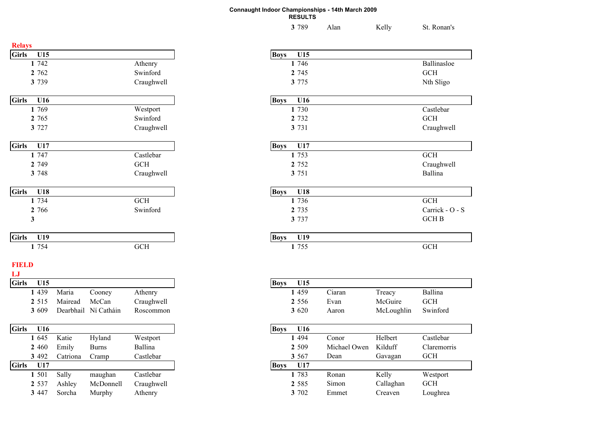| 3 789 | Alan | Kelly | St. Ronan's |
|-------|------|-------|-------------|
|       |      |       |             |

| <b>Relays</b>      |                    |           |              |            |             |         |
|--------------------|--------------------|-----------|--------------|------------|-------------|---------|
| <b>Girls</b>       | U15                |           |              |            | <b>Boys</b> | U15     |
|                    | 1 742              |           |              | Athenry    |             | 1 746   |
|                    | 2 762              |           |              | Swinford   |             | 2 7 4 5 |
|                    | 3 7 3 9            |           |              | Craughwell |             | 3 775   |
| <b>Girls</b>       | U16                |           |              |            | <b>Boys</b> | U16     |
|                    | 1 769              |           |              | Westport   |             | 1 730   |
|                    | 2 765              |           |              | Swinford   |             | 2 7 3 2 |
|                    | 3 7 2 7            |           |              | Craughwell |             | 3 731   |
| <b>Girls</b>       | U17                |           |              |            | <b>Boys</b> | U17     |
|                    | 1 747              |           |              | Castlebar  |             | 1 753   |
|                    | 2 7 4 9            |           |              | <b>GCH</b> |             | 2 7 5 2 |
|                    | 3 748              |           |              | Craughwell |             | 3 751   |
| <b>Girls</b>       | U18                |           |              |            | <b>Boys</b> | U18     |
|                    | $\overline{1}$ 734 |           |              | <b>GCH</b> |             | 1 736   |
|                    | 2 766              |           |              | Swinford   |             | 2 7 3 5 |
|                    | 3                  |           |              |            |             | 3 7 3 7 |
| <b>Girls</b>       | U19                |           |              |            | <b>Boys</b> | U19     |
|                    | 1 754              |           |              | <b>GCH</b> |             | 1 755   |
| <b>FIELD</b><br>LJ |                    |           |              |            |             |         |
| <b>Girls</b>       | U15                |           |              |            | <b>Boys</b> | U15     |
|                    | 1 4 3 9            | Maria     | Cooney       | Athenry    |             | 1 459   |
|                    | 2 5 1 5            | Mairead   | McCan        | Craughwell |             | 2 5 5 6 |
|                    | 3 609              | Dearbhail | Ní Catháin   | Roscommon  |             | 3 6 20  |
| <b>Girls</b>       | U16                |           |              |            | <b>Boys</b> | U16     |
|                    | 1 645              | Katie     | Hyland       | Westport   |             | 1 4 9 4 |
|                    | 2 460              | Emily     | <b>Burns</b> | Ballina    |             | 2 509   |
|                    | 3 4 9 2            | Catriona  | Cramp        | Castlebar  |             | 3 5 6 7 |
| <b>Girls</b>       | U17                |           |              |            | <b>Boys</b> | U17     |
|                    | 1 501              | Sally     | maughan      | Castlebar  |             | 1 783   |
|                    | 2 5 3 7            | Ashley    | McDonnell    | Craughwell |             | 2 5 8 5 |

**3**

|                      | U15                |                                           |
|----------------------|--------------------|-------------------------------------------|
| Athenry              | 1 746              | Ballinasloe                               |
| Swinford             | 2 7 4 5            | GCH                                       |
| Craughwell           | 3 775              | Nth Sligo                                 |
|                      | <b>Boys</b><br>U16 |                                           |
| Westport             | 1 730              | Castlebar                                 |
| Swinford             | 2 7 3 2            | $GCH$                                     |
| Craughwell           | 3 731              | Craughwell                                |
|                      | U17                |                                           |
| Castlebar            | 1 753              | $\operatorname{GCH}$                      |
| GCH                  | 2 7 5 2            | Craughwell                                |
| Craughwell           | 3 751              | Ballina                                   |
|                      | U18<br><b>Boys</b> |                                           |
| GCH                  | 1 736              | $GCH$                                     |
| Swinford             | 2 7 3 5            | Carrick - O - S                           |
|                      | 3 7 3 7            | $GCH$ $\mathbf B$                         |
|                      | U19                |                                           |
| $\operatorname{GCH}$ | 1 755              | $\operatorname{GCH}$                      |
|                      |                    |                                           |
|                      |                    | <b>Boys</b><br><b>Boys</b><br><b>Boys</b> |

| U15     |           |              |            | <b>Boys</b> | U15     |              |            |             |
|---------|-----------|--------------|------------|-------------|---------|--------------|------------|-------------|
| 1 4 3 9 | Maria     | Cooney       | Athenry    |             | 1 4 5 9 | Ciaran       | Treacy     | Ballina     |
| 2 5 1 5 | Mairead   | McCan        | Craughwell |             | 2 5 5 6 | Evan         | McGuire    | <b>GCH</b>  |
| 3 609   | Dearbhail | Ní Catháin   | Roscommon  |             | 3 6 20  | Aaron        | McLoughlin | Swinford    |
| U16     |           |              |            | <b>Boys</b> | U16     |              |            |             |
| 1 645   | Katie     | Hyland       | Westport   |             | 1 4 9 4 | Conor        | Helbert    | Castlebar   |
| 2460    | Emily     | <b>Burns</b> | Ballina    |             | 2 5 0 9 | Michael Owen | Kilduff    | Claremorris |
| 3 492   | Catriona  | Cramp        | Castlebar  |             | 3 5 6 7 | Dean         | Gavagan    | <b>GCH</b>  |
| U17     |           |              |            | <b>Boys</b> | U17     |              |            |             |
| 1 501   | Sally     | maughan      | Castlebar  |             | 1 783   | Ronan        | Kelly      | Westport    |
| 2 537   | Ashley    | McDonnell    | Craughwell |             | 2 5 8 5 | Simon        | Callaghan  | <b>GCH</b>  |
| 3447    | Sorcha    | Murphy       | Athenry    |             | 3 702   | Emmet        | Creaven    | Loughrea    |
|         |           |              |            |             |         |              |            |             |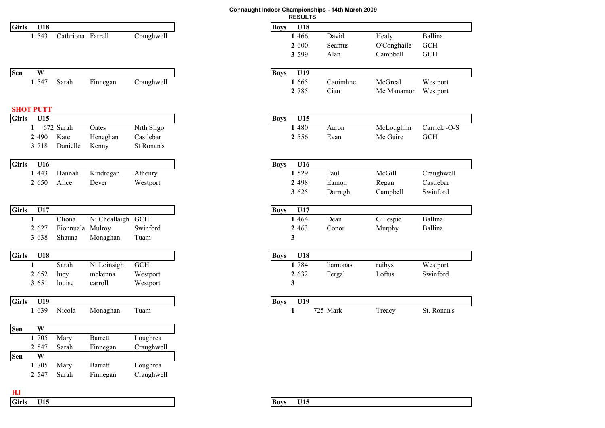|              |              |                  |                   |                   |            |             | <b>RESUL</b> |
|--------------|--------------|------------------|-------------------|-------------------|------------|-------------|--------------|
| <b>Girls</b> |              | U18              |                   |                   |            | <b>Boys</b> | U18          |
|              |              | 1 543            | Cathriona Farrell |                   | Craughwell |             | 1 4 6 6      |
|              |              |                  |                   |                   |            |             | 2 600        |
|              |              |                  |                   |                   |            |             | 3 5 9 9      |
| Sen          |              | W                |                   |                   |            | <b>Boys</b> | U19          |
|              |              | 1 5 4 7          | Sarah             | Finnegan          | Craughwell |             | 1 665        |
|              |              |                  |                   |                   |            |             | 2 785        |
|              |              | <b>SHOT PUTT</b> |                   |                   |            |             |              |
| <b>Girls</b> |              | U15              |                   |                   |            | <b>Boys</b> | U15          |
|              | 1            |                  | 672 Sarah         | Oates             | Nrth Sligo |             | 1 480        |
|              |              | 2 4 9 0          | Kate              | Heneghan          | Castlebar  |             | 2 5 5 6      |
|              |              | 3 7 18           | Danielle          | Kenny             | St Ronan's |             |              |
| <b>Girls</b> |              | U16              |                   |                   |            | <b>Boys</b> | U16          |
|              |              | 1 4 4 3          | Hannah            | Kindregan         | Athenry    |             | 1 5 2 9      |
|              |              | 2 650            | Alice             | Dever             | Westport   |             | 2 4 9 8      |
|              |              |                  |                   |                   |            |             | 3 625        |
| <b>Girls</b> |              | U17              |                   |                   |            | <b>Boys</b> | U17          |
|              | 1            |                  | Cliona            | Ni Cheallaigh GCH |            |             | 1 4 6 4      |
|              |              | 2 627            | Fionnuala Mulroy  |                   | Swinford   |             | 2 4 6 3      |
|              |              | 3 6 3 8          | Shauna            | Monaghan          | Tuam       |             | 3            |
| <b>Girls</b> |              | U18              |                   |                   |            | <b>Boys</b> | U18          |
|              | $\mathbf{1}$ |                  | Sarah             | Ni Loinsigh       | <b>GCH</b> |             | 1 784        |
|              |              | 2 652            | lucy              | mckenna           | Westport   |             | 2 6 3 2      |
|              |              | 3 651            | louise            | carroll           | Westport   |             | 3            |
| <b>Girls</b> |              | U19              |                   |                   |            | <b>Boys</b> | U19          |
|              |              | 1 639            | Nicola            | Monaghan          | Tuam       |             | 1            |
| Sen          |              | W                |                   |                   |            |             |              |
|              |              | 1 705            | Mary              | <b>Barrett</b>    | Loughrea   |             |              |
|              |              | 2 5 4 7          | Sarah             | Finnegan          | Craughwell |             |              |
| Sen          |              | W                |                   |                   |            |             |              |
|              |              | 1 705            | Mary              | <b>Barrett</b>    | Loughrea   |             |              |
|              |              | 2 5 4 7          | Sarah             | Finnegan          | Craughwell |             |              |
|              |              |                  |                   |                   |            |             |              |

| Connaught Indoor Championships - 14th March 2009 |  |
|--------------------------------------------------|--|
| <b>RESULTS</b>                                   |  |
|                                                  |  |

| U18         |                   |                   |            | <b>Boys</b><br>U18 |                            |
|-------------|-------------------|-------------------|------------|--------------------|----------------------------|
| 1 543       | Cathriona Farrell |                   | Craughwell | David<br>1 4 6 6   | Ballina<br>Healy           |
|             |                   |                   |            | 2 600<br>Seamus    | O'Conghaile<br><b>GCH</b>  |
|             |                   |                   |            | 3 5 9 9<br>Alan    | <b>GCH</b><br>Campbell     |
|             |                   |                   |            |                    |                            |
| W           |                   |                   |            | U19<br><b>Boys</b> |                            |
| 1 547       | Sarah             | Finnegan          | Craughwell | Caoimhne<br>1 665  | McGreal<br>Westport        |
|             |                   |                   |            | 2 785<br>Cian      | Mc Manamon<br>Westport     |
|             |                   |                   |            |                    |                            |
| <b>PUTT</b> |                   |                   |            |                    |                            |
| U15         |                   |                   |            | <b>Boys</b><br>U15 |                            |
| 1           | 672 Sarah         | Oates             | Nrth Sligo | 1 480<br>Aaron     | Carrick -O-S<br>McLoughlin |
| 2490        | Kate              | Heneghan          | Castlebar  | 2 5 5 6<br>Evan    | Mc Guire<br><b>GCH</b>     |
| 3 718       | Danielle          | Kenny             | St Ronan's |                    |                            |
| U16         |                   |                   |            | <b>Boys</b><br>U16 |                            |
| 1 4 4 3     | Hannah            | Kindregan         | Athenry    | 1 5 2 9<br>Paul    | McGill<br>Craughwell       |
| 2 650       | Alice             | Dever             | Westport   | 2 4 9 8<br>Eamon   | Castlebar<br>Regan         |
|             |                   |                   |            | 3 625<br>Darragh   | Swinford<br>Campbell       |
|             |                   |                   |            |                    |                            |
| U17         |                   |                   |            | U17<br><b>Boys</b> |                            |
|             | Cliona            | Ni Cheallaigh GCH |            | 1 4 6 4<br>Dean    | Ballina<br>Gillespie       |
| 2 627       | Fionnuala         | Mulroy            | Swinford   | 2 4 6 3<br>Conor   | Ballina<br>Murphy          |
| 3 638       | Shauna            | Monaghan          | Tuam       | 3                  |                            |
| U18         |                   |                   |            | U18<br><b>Boys</b> |                            |
|             | Sarah             | Ni Loinsigh       | <b>GCH</b> | 1 784<br>liamonas  | Westport<br>ruibys         |
|             |                   | mckenna           |            | 2 632              | Loftus<br>Swinford         |
| 2652        | lucy              |                   | Westport   | Fergal             |                            |
| 3 651       | louise            | carroll           | Westport   | 3                  |                            |
| U19         |                   |                   |            | U19<br><b>Boys</b> |                            |
| 1 639       | Nicola            | Monaghan          | Tuam       | 725 Mark<br>1      | St. Ronan's<br>Treacy      |
|             |                   |                   |            |                    |                            |

**HJ**

**Girls U15 Boys U15**